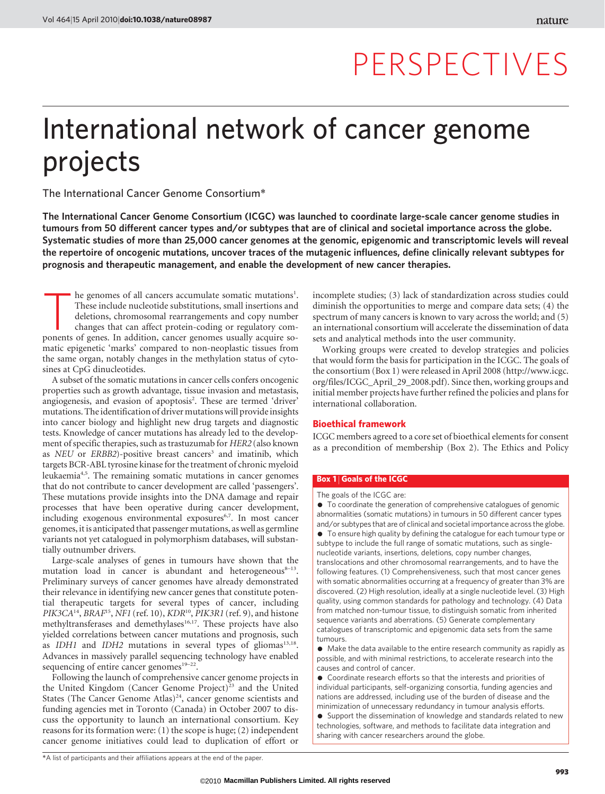# PERSPECTIVES

## International network of cancer genome projects

The International Cancer Genome Consortium*\**

The International Cancer Genome Consortium (ICGC) was launched to coordinate large-scale cancer genome studies in tumours from 50 different cancer types and/or subtypes that are of clinical and societal importance across the globe. Systematic studies of more than 25,000 cancer genomes at the genomic, epigenomic and transcriptomic levels will reveal the repertoire of oncogenic mutations, uncover traces of the mutagenic influences, define clinically relevant subtypes for prognosis and therapeutic management, and enable the development of new cancer therapies.

These include nucleotide substitutions, small insertions and deletions, chromosomal rearrangements and copy number changes that can affect protein-coding or regulatory components of genes. In addition, cancer genomes usual These include nucleotide substitutions, small insertions and deletions, chromosomal rearrangements and copy number changes that can affect protein-coding or regulatory components of genes. In addition, cancer genomes usually acquire somatic epigenetic 'marks' compared to non-neoplastic tissues from the same organ, notably changes in the methylation status of cytosines at CpG dinucleotides.

A subset of the somatic mutations in cancer cells confers oncogenic properties such as growth advantage, tissue invasion and metastasis, angiogenesis, and evasion of apoptosis<sup>2</sup>. These are termed 'driver' mutations. The identification of driver mutations will provide insights into cancer biology and highlight new drug targets and diagnostic tests. Knowledge of cancer mutations has already led to the development of specific therapies, such as trastuzumab for HER2 (also known as NEU or ERBB2)-positive breast cancers<sup>3</sup> and imatinib, which targets BCR-ABL tyrosine kinase for the treatment of chronic myeloid leukaemia4,5. The remaining somatic mutations in cancer genomes that do not contribute to cancer development are called 'passengers'. These mutations provide insights into the DNA damage and repair processes that have been operative during cancer development, including exogenous environmental exposures<sup>6,7</sup>. In most cancer genomes, it is anticipated that passenger mutations, as well as germline variants not yet catalogued in polymorphism databases, will substantially outnumber drivers.

Large-scale analyses of genes in tumours have shown that the mutation load in cancer is abundant and heterogeneous $8-13$ . Preliminary surveys of cancer genomes have already demonstrated their relevance in identifying new cancer genes that constitute potential therapeutic targets for several types of cancer, including PIK3CA<sup>14</sup>, BRAF<sup>15</sup>, NF1 (ref. 10), KDR<sup>10</sup>, PIK3R1 (ref. 9), and histone methyltransferases and demethylases<sup>16,17</sup>. These projects have also yielded correlations between cancer mutations and prognosis, such as IDH1 and IDH2 mutations in several types of gliomas<sup>13,18</sup>. Advances in massively parallel sequencing technology have enabled sequencing of entire cancer genomes<sup>19-22</sup>.

Following the launch of comprehensive cancer genome projects in the United Kingdom (Cancer Genome Project)<sup>23</sup> and the United States (The Cancer Genome Atlas)<sup>24</sup>, cancer genome scientists and funding agencies met in Toronto (Canada) in October 2007 to discuss the opportunity to launch an international consortium. Key reasons for its formation were: (1) the scope is huge; (2) independent cancer genome initiatives could lead to duplication of effort or incomplete studies; (3) lack of standardization across studies could diminish the opportunities to merge and compare data sets; (4) the spectrum of many cancers is known to vary across the world; and (5) an international consortium will accelerate the dissemination of data sets and analytical methods into the user community.

Working groups were created to develop strategies and policies that would form the basis for participation in the ICGC. The goals of the consortium (Box 1) were released in April 2008 [\(http://www.icgc.](http://www.icgc.org/files/ICGC_April_29_2008.pdf) [org/files/ICGC\\_April\\_29\\_2008.pdf\)](http://www.icgc.org/files/ICGC_April_29_2008.pdf). Since then, working groups and initial member projects have further refined the policies and plans for international collaboration.

## Bioethical framework

ICGC members agreed to a core set of bioethical elements for consent as a precondition of membership (Box 2). The Ethics and Policy

#### Box 1 | Goals of the ICGC

The goals of the ICGC are:

 $\bullet$  To coordinate the generation of comprehensive catalogues of genomic abnormalities (somatic mutations) in tumours in 50 different cancer types and/or subtypes that are of clinical and societal importance across the globe.  $\bullet$  To ensure high quality by defining the catalogue for each tumour type or subtype to include the full range of somatic mutations, such as singlenucleotide variants, insertions, deletions, copy number changes, translocations and other chromosomal rearrangements, and to have the following features. (1) Comprehensiveness, such that most cancer genes with somatic abnormalities occurring at a frequency of greater than 3% are discovered. (2) High resolution, ideally at a single nucleotide level. (3) High quality, using common standards for pathology and technology. (4) Data from matched non-tumour tissue, to distinguish somatic from inherited sequence variants and aberrations. (5) Generate complementary catalogues of transcriptomic and epigenomic data sets from the same tumours.

 $\bullet$  Make the data available to the entire research community as rapidly as possible, and with minimal restrictions, to accelerate research into the causes and control of cancer.

 $\bullet$  Coordinate research efforts so that the interests and priorities of individual participants, self-organizing consortia, funding agencies and nations are addressed, including use of the burden of disease and the minimization of unnecessary redundancy in tumour analysis efforts.

• Support the dissemination of knowledge and standards related to new technologies, software, and methods to facilitate data integration and sharing with cancer researchers around the globe.

*\**A list of participants and their affiliations appears at the end of the paper.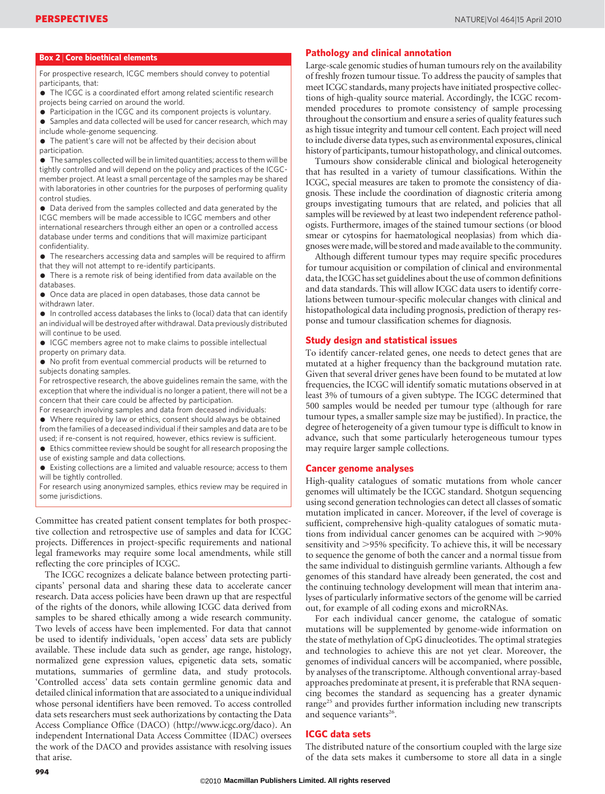#### Box 2 | Core bioethical elements

For prospective research, ICGC members should convey to potential participants, that:

 $\bullet$  The ICGC is a coordinated effort among related scientific research projects being carried on around the world.

- $\bullet$  Participation in the ICGC and its component projects is voluntary.
- Samples and data collected will be used for cancer research, which may include whole-genome sequencing.

 $\bullet$  The patient's care will not be affected by their decision about participation.

 $\bullet$  The samples collected will be in limited quantities; access to them will be tightly controlled and will depend on the policy and practices of the ICGCmember project. At least a small percentage of the samples may be shared with laboratories in other countries for the purposes of performing quality control studies.

 $\bullet$  Data derived from the samples collected and data generated by the ICGC members will be made accessible to ICGC members and other international researchers through either an open or a controlled access database under terms and conditions that will maximize participant confidentiality.

 $\bullet$  The researchers accessing data and samples will be required to affirm that they will not attempt to re-identify participants.

 $\bullet$  There is a remote risk of being identified from data available on the databases.

 $\bullet$  Once data are placed in open databases, those data cannot be withdrawn later.

 $\bullet$  In controlled access databases the links to (local) data that can identify an individual will be destroyed after withdrawal. Data previously distributed will continue to be used.

 $\bullet$  ICGC members agree not to make claims to possible intellectual property on primary data.

 $\bullet$  No profit from eventual commercial products will be returned to subjects donating samples.

For retrospective research, the above guidelines remain the same, with the exception that where the individual is no longer a patient, there will not be a concern that their care could be affected by participation.

For research involving samples and data from deceased individuals:

 $\bullet$  Where required by law or ethics, consent should always be obtained from the families of a deceased individual if their samples and data are to be used; if re-consent is not required, however, ethics review is sufficient.

 $\bullet$  Ethics committee review should be sought for all research proposing the use of existing sample and data collections.

 $\bullet$  Existing collections are a limited and valuable resource; access to them will be tightly controlled.

For research using anonymized samples, ethics review may be required in some jurisdictions.

Committee has created patient consent templates for both prospective collection and retrospective use of samples and data for ICGC projects. Differences in project-specific requirements and national legal frameworks may require some local amendments, while still reflecting the core principles of ICGC.

The ICGC recognizes a delicate balance between protecting participants' personal data and sharing these data to accelerate cancer research. Data access policies have been drawn up that are respectful of the rights of the donors, while allowing ICGC data derived from samples to be shared ethically among a wide research community. Two levels of access have been implemented. For data that cannot be used to identify individuals, 'open access' data sets are publicly available. These include data such as gender, age range, histology, normalized gene expression values, epigenetic data sets, somatic mutations, summaries of germline data, and study protocols. 'Controlled access' data sets contain germline genomic data and detailed clinical information that are associated to a unique individual whose personal identifiers have been removed. To access controlled data sets researchers must seek authorizations by contacting the Data Access Compliance Office (DACO) (<http://www.icgc.org/daco>). An independent International Data Access Committee (IDAC) oversees the work of the DACO and provides assistance with resolving issues that arise.

### Pathology and clinical annotation

Large-scale genomic studies of human tumours rely on the availability of freshly frozen tumour tissue. To address the paucity of samples that meet ICGC standards, many projects have initiated prospective collections of high-quality source material. Accordingly, the ICGC recommended procedures to promote consistency of sample processing throughout the consortium and ensure a series of quality features such as high tissue integrity and tumour cell content. Each project will need to include diverse data types, such as environmental exposures, clinical history of participants, tumour histopathology, and clinical outcomes.

Tumours show considerable clinical and biological heterogeneity that has resulted in a variety of tumour classifications. Within the ICGC, special measures are taken to promote the consistency of diagnosis. These include the coordination of diagnostic criteria among groups investigating tumours that are related, and policies that all samples will be reviewed by at least two independent reference pathologists. Furthermore, images of the stained tumour sections (or blood smear or cytospins for haematological neoplasias) from which diagnoses weremade, will be stored and made available to the community.

Although different tumour types may require specific procedures for tumour acquisition or compilation of clinical and environmental data, the ICGC has set guidelines about the use of common definitions and data standards. This will allow ICGC data users to identify correlations between tumour-specific molecular changes with clinical and histopathological data including prognosis, prediction of therapy response and tumour classification schemes for diagnosis.

#### Study design and statistical issues

To identify cancer-related genes, one needs to detect genes that are mutated at a higher frequency than the background mutation rate. Given that several driver genes have been found to be mutated at low frequencies, the ICGC will identify somatic mutations observed in at least 3% of tumours of a given subtype. The ICGC determined that 500 samples would be needed per tumour type (although for rare tumour types, a smaller sample size may be justified). In practice, the degree of heterogeneity of a given tumour type is difficult to know in advance, such that some particularly heterogeneous tumour types may require larger sample collections.

## Cancer genome analyses

High-quality catalogues of somatic mutations from whole cancer genomes will ultimately be the ICGC standard. Shotgun sequencing using second generation technologies can detect all classes of somatic mutation implicated in cancer. Moreover, if the level of coverage is sufficient, comprehensive high-quality catalogues of somatic mutations from individual cancer genomes can be acquired with  $>90\%$ sensitivity and >95% specificity. To achieve this, it will be necessary to sequence the genome of both the cancer and a normal tissue from the same individual to distinguish germline variants. Although a few genomes of this standard have already been generated, the cost and the continuing technology development will mean that interim analyses of particularly informative sectors of the genome will be carried out, for example of all coding exons and microRNAs.

For each individual cancer genome, the catalogue of somatic mutations will be supplemented by genome-wide information on the state of methylation of CpG dinucleotides. The optimal strategies and technologies to achieve this are not yet clear. Moreover, the genomes of individual cancers will be accompanied, where possible, by analyses of the transcriptome. Although conventional array-based approaches predominate at present, it is preferable that RNA sequencing becomes the standard as sequencing has a greater dynamic range<sup>25</sup> and provides further information including new transcripts and sequence variants<sup>26</sup>.

#### ICGC data sets

The distributed nature of the consortium coupled with the large size of the data sets makes it cumbersome to store all data in a single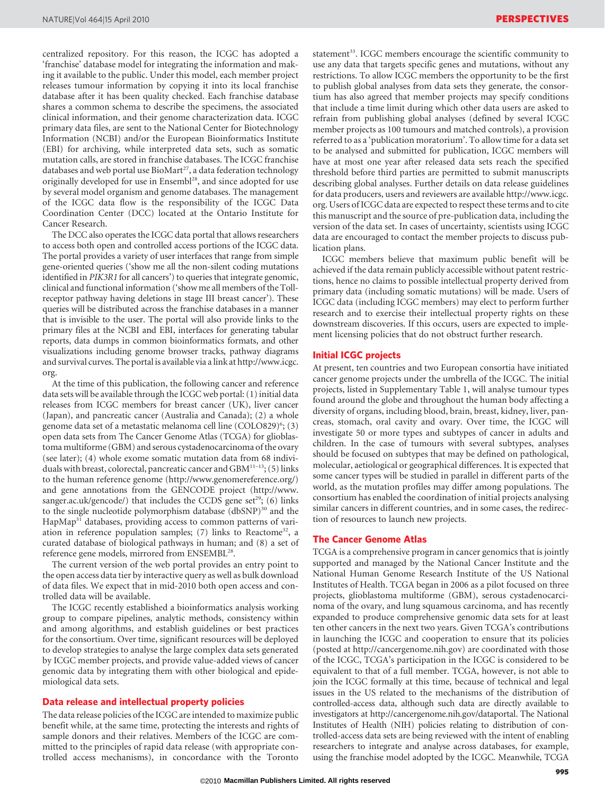centralized repository. For this reason, the ICGC has adopted a 'franchise' database model for integrating the information and making it available to the public. Under this model, each member project releases tumour information by copying it into its local franchise database after it has been quality checked. Each franchise database shares a common schema to describe the specimens, the associated clinical information, and their genome characterization data. ICGC primary data files, are sent to the National Center for Biotechnology Information (NCBI) and/or the European Bioinformatics Institute (EBI) for archiving, while interpreted data sets, such as somatic mutation calls, are stored in franchise databases. The ICGC franchise databases and web portal use BioMart<sup>27</sup>, a data federation technology originally developed for use in Ensembl<sup>28</sup>, and since adopted for use by several model organism and genome databases. The management of the ICGC data flow is the responsibility of the ICGC Data Coordination Center (DCC) located at the Ontario Institute for Cancer Research.

The DCC also operates the ICGC data portal that allows researchers to access both open and controlled access portions of the ICGC data. The portal provides a variety of user interfaces that range from simple gene-oriented queries ('show me all the non-silent coding mutations identified in PIK3R1 for all cancers') to queries that integrate genomic, clinical and functional information ('show me all members of the Tollreceptor pathway having deletions in stage III breast cancer'). These queries will be distributed across the franchise databases in a manner that is invisible to the user. The portal will also provide links to the primary files at the NCBI and EBI, interfaces for generating tabular reports, data dumps in common bioinformatics formats, and other visualizations including genome browser tracks, pathway diagrams and survival curves. The portal is available via a link at [http://www.icgc.](http://www.icgc.org) [org](http://www.icgc.org).

At the time of this publication, the following cancer and reference data sets will be available through the ICGC web portal: (1) initial data releases from ICGC members for breast cancer (UK), liver cancer (Japan), and pancreatic cancer (Australia and Canada); (2) a whole genome data set of a metastatic melanoma cell line (COLO829)<sup>6</sup>; (3) open data sets from The Cancer Genome Atlas (TCGA) for glioblastoma multiforme (GBM) and serous cystadenocarcinoma of the ovary (see later); (4) whole exome somatic mutation data from 68 individuals with breast, colorectal, pancreatic cancer and GBM<sup>11-13</sup>; (5) links to the human reference genome [\(http://www.genomereference.org/](http://www.genomereference.org)) and gene annotations from the GENCODE project [\(http://www.](http://www.sanger.ac.uk/gencode) [sanger.ac.uk/gencode/](http://www.sanger.ac.uk/gencode)) that includes the CCDS gene set<sup>29</sup>; (6) links to the single nucleotide polymorphism database (dbSNP)<sup>30</sup> and the HapMap<sup>31</sup> databases, providing access to common patterns of variation in reference population samples;  $(7)$  links to Reactome<sup>32</sup>, a curated database of biological pathways in human; and (8) a set of reference gene models, mirrored from ENSEMBL<sup>28</sup>.

The current version of the web portal provides an entry point to the open access data tier by interactive query as well as bulk download of data files. We expect that in mid-2010 both open access and controlled data will be available.

The ICGC recently established a bioinformatics analysis working group to compare pipelines, analytic methods, consistency within and among algorithms, and establish guidelines or best practices for the consortium. Over time, significant resources will be deployed to develop strategies to analyse the large complex data sets generated by ICGC member projects, and provide value-added views of cancer genomic data by integrating them with other biological and epidemiological data sets.

#### Data release and intellectual property policies

The data release policies of the ICGC are intended to maximize public benefit while, at the same time, protecting the interests and rights of sample donors and their relatives. Members of the ICGC are committed to the principles of rapid data release (with appropriate controlled access mechanisms), in concordance with the Toronto

statement<sup>33</sup>. ICGC members encourage the scientific community to use any data that targets specific genes and mutations, without any restrictions. To allow ICGC members the opportunity to be the first to publish global analyses from data sets they generate, the consortium has also agreed that member projects may specify conditions that include a time limit during which other data users are asked to refrain from publishing global analyses (defined by several ICGC member projects as 100 tumours and matched controls), a provision referred to as a 'publication moratorium'. To allow time for a data set to be analysed and submitted for publication, ICGC members will have at most one year after released data sets reach the specified threshold before third parties are permitted to submit manuscripts describing global analyses. Further details on data release guidelines for data producers, users and reviewers are available [http://www.icgc.](http://www.icgc.org) [org](http://www.icgc.org). Users of ICGC data are expected to respect these terms and to cite this manuscript and the source of pre-publication data, including the version of the data set. In cases of uncertainty, scientists using ICGC data are encouraged to contact the member projects to discuss publication plans.

ICGC members believe that maximum public benefit will be achieved if the data remain publicly accessible without patent restrictions, hence no claims to possible intellectual property derived from primary data (including somatic mutations) will be made. Users of ICGC data (including ICGC members) may elect to perform further research and to exercise their intellectual property rights on these downstream discoveries. If this occurs, users are expected to implement licensing policies that do not obstruct further research.

#### Initial ICGC projects

At present, ten countries and two European consortia have initiated cancer genome projects under the umbrella of the ICGC. The initial projects, listed in Supplementary Table 1, will analyse tumour types found around the globe and throughout the human body affecting a diversity of organs, including blood, brain, breast, kidney, liver, pancreas, stomach, oral cavity and ovary. Over time, the ICGC will investigate 50 or more types and subtypes of cancer in adults and children. In the case of tumours with several subtypes, analyses should be focused on subtypes that may be defined on pathological, molecular, aetiological or geographical differences. It is expected that some cancer types will be studied in parallel in different parts of the world, as the mutation profiles may differ among populations. The consortium has enabled the coordination of initial projects analysing similar cancers in different countries, and in some cases, the redirection of resources to launch new projects.

#### The Cancer Genome Atlas

TCGA is a comprehensive program in cancer genomics that is jointly supported and managed by the National Cancer Institute and the National Human Genome Research Institute of the US National Institutes of Health. TCGA began in 2006 as a pilot focused on three projects, glioblastoma multiforme (GBM), serous cystadenocarcinoma of the ovary, and lung squamous carcinoma, and has recently expanded to produce comprehensive genomic data sets for at least ten other cancers in the next two years. Given TCGA's contributions in launching the ICGC and cooperation to ensure that its policies (posted at [http://cancergenome.nih.gov\)](http://cancergenome.nih.gov) are coordinated with those of the ICGC, TCGA's participation in the ICGC is considered to be equivalent to that of a full member. TCGA, however, is not able to join the ICGC formally at this time, because of technical and legal issues in the US related to the mechanisms of the distribution of controlled-access data, although such data are directly available to investigators at [http://cancergenome.nih.gov/dataportal.](http://cancergenome.nih.gov/dataportal) The National Institutes of Health (NIH) policies relating to distribution of controlled-access data sets are being reviewed with the intent of enabling researchers to integrate and analyse across databases, for example, using the franchise model adopted by the ICGC. Meanwhile, TCGA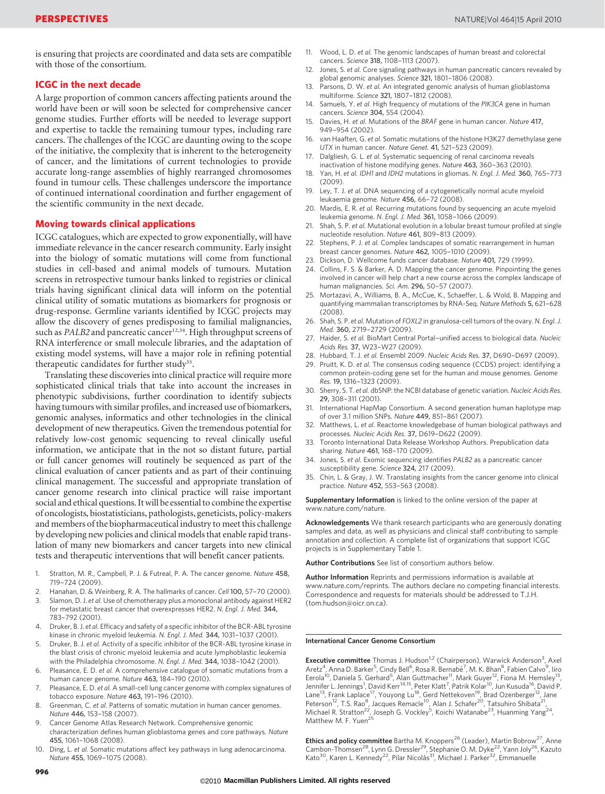is ensuring that projects are coordinated and data sets are compatible with those of the consortium.

#### ICGC in the next decade

A large proportion of common cancers affecting patients around the world have been or will soon be selected for comprehensive cancer genome studies. Further efforts will be needed to leverage support and expertise to tackle the remaining tumour types, including rare cancers. The challenges of the ICGC are daunting owing to the scope of the initiative, the complexity that is inherent to the heterogeneity of cancer, and the limitations of current technologies to provide accurate long-range assemblies of highly rearranged chromosomes found in tumour cells. These challenges underscore the importance of continued international coordination and further engagement of the scientific community in the next decade.

#### Moving towards clinical applications

ICGC catalogues, which are expected to grow exponentially, will have immediate relevance in the cancer research community. Early insight into the biology of somatic mutations will come from functional studies in cell-based and animal models of tumours. Mutation screens in retrospective tumour banks linked to registries or clinical trials having significant clinical data will inform on the potential clinical utility of somatic mutations as biomarkers for prognosis or drug-response. Germline variants identified by ICGC projects may allow the discovery of genes predisposing to familial malignancies, such as PALB2 and pancreatic cancer<sup>12,34</sup>. High throughput screens of RNA interference or small molecule libraries, and the adaptation of existing model systems, will have a major role in refining potential therapeutic candidates for further study<sup>35</sup>.

Translating these discoveries into clinical practice will require more sophisticated clinical trials that take into account the increases in phenotypic subdivisions, further coordination to identify subjects having tumours with similar profiles, and increased use of biomarkers, genomic analyses, informatics and other technologies in the clinical development of new therapeutics. Given the tremendous potential for relatively low-cost genomic sequencing to reveal clinically useful information, we anticipate that in the not so distant future, partial or full cancer genomes will routinely be sequenced as part of the clinical evaluation of cancer patients and as part of their continuing clinical management. The successful and appropriate translation of cancer genome research into clinical practice will raise important social and ethical questions. It will be essential to combine the expertise of oncologists, biostatisticians, pathologists, geneticists, policy-makers and members of the biopharmaceutical industry to meet this challenge by developing new policies and clinical models that enable rapid translation of many new biomarkers and cancer targets into new clinical tests and therapeutic interventions that will benefit cancer patients.

- 1. Stratton, M. R., Campbell, P. J. & Futreal, P. A. The cancer genome. Nature 458, 719–724 (2009).
- Hanahan, D. & Weinberg, R. A. The hallmarks of cancer. Cell 100, 57-70 (2000).
- Slamon, D. J. et al. Use of chemotherapy plus a monoclonal antibody against HER2 for metastatic breast cancer that overexpresses HER2. N. Engl. J. Med. 344, 783–792 (2001).
- 4. Druker, B. J. et al. Efficacy and safety of a specific inhibitor of the BCR-ABL tyrosine kinase in chronic myeloid leukemia. N. Engl. J. Med. 344, 1031–1037 (2001).
- 5. Druker, B. J. et al. Activity of a specific inhibitor of the BCR-ABL tyrosine kinase in the blast crisis of chronic myeloid leukemia and acute lymphoblastic leukemia with the Philadelphia chromosome. N. Engl. J. Med. 344, 1038–1042 (2001).
- Pleasance, E. D. et al. A comprehensive catalogue of somatic mutations from a human cancer genome. Nature 463, 184–190 (2010).
- 7. Pleasance, E. D. et al. A small-cell lung cancer genome with complex signatures of tobacco exposure. Nature 463, 191–196 (2010).
- 8. Greenman, C. et al. Patterns of somatic mutation in human cancer genomes. Nature 446, 153–158 (2007).
- 9. Cancer Genome Atlas Research Network. Comprehensive genomic characterization defines human glioblastoma genes and core pathways. Nature 455, 1061–1068 (2008).
- 10. Ding, L. et al. Somatic mutations affect key pathways in lung adenocarcinoma. Nature 455, 1069–1075 (2008).
- 11. Wood, L. D. et al. The genomic landscapes of human breast and colorectal cancers. Science 318, 1108–1113 (2007).
- 12. Jones, S. et al. Core signaling pathways in human pancreatic cancers revealed by global genomic analyses. Science 321, 1801–1806 (2008).
- 13. Parsons, D. W. et al. An integrated genomic analysis of human glioblastoma multiforme. Science 321, 1807–1812 (2008).
- 14. Samuels, Y. et al. High frequency of mutations of the PIK3CA gene in human cancers. Science 304, 554 (2004).
- 15. Davies, H. et al. Mutations of the BRAF gene in human cancer. Nature 417, 949–954 (2002).
- 16. van Haaften, G. et al. Somatic mutations of the histone H3K27 demethylase gene UTX in human cancer. Nature Genet. 41, 521–523 (2009).
- 17. Dalgliesh, G. L. et al. Systematic sequencing of renal carcinoma reveals inactivation of histone modifying genes. Nature 463, 360–363 (2010).
- 18. Yan, H. et al. IDH1 and IDH2 mutations in gliomas. N. Engl. J. Med. 360, 765–773 (2009).
- 19. Ley, T. J. et al. DNA sequencing of a cytogenetically normal acute myeloid leukaemia genome. Nature 456, 66–72 (2008).
- 20. Mardis, E. R. et al. Recurring mutations found by sequencing an acute myeloid leukemia genome. N. Engl. J. Med. 361, 1058–1066 (2009).
- 21. Shah, S. P. et al. Mutational evolution in a lobular breast tumour profiled at single nucleotide resolution. Nature 461, 809–813 (2009).
- 22. Stephens, P. J. et al. Complex landscapes of somatic rearrangement in human breast cancer genomes. Nature 462, 1005–1010 (2009).
- 23. Dickson, D. Wellcome funds cancer database. Nature 401, 729 (1999).
- Collins, F. S. & Barker, A. D. Mapping the cancer genome. Pinpointing the genes involved in cancer will help chart a new course across the complex landscape of human malignancies. Sci. Am. 296, 50–57 (2007).
- 25. Mortazavi, A., Williams, B. A., McCue, K., Schaeffer, L. & Wold, B. Mapping and quantifying mammalian transcriptomes by RNA-Seq. Nature Methods 5, 621–628 (2008).
- 26. Shah, S. P. et al. Mutation of FOXL2 in granulosa-cell tumors of the ovary. N. Engl. J. Med. 360, 2719–2729 (2009).
- 27. Haider, S. et al. BioMart Central Portal-unified access to biological data. Nucleic Acids Res. 37, W23–W27 (2009).
- 28. Hubbard, T. J. et al. Ensembl 2009. Nucleic Acids Res. 37, D690–D697 (2009).
- 29. Pruitt, K. D. et al. The consensus coding sequence (CCDS) project: identifying a common protein-coding gene set for the human and mouse genomes. Genome Res. 19, 1316–1323 (2009).
- 30. Sherry, S. T. et al. dbSNP: the NCBI database of genetic variation. Nucleic Acids Res. 29, 308–311 (2001).
- International HapMap Consortium. A second generation human haplotype map of over 3.1 million SNPs. Nature 449, 851–861 (2007).
- 32. Matthews, L. et al. Reactome knowledgebase of human biological pathways and processes. Nucleic Acids Res. 37, D619–D622 (2009).
- Toronto International Data Release Workshop Authors. Prepublication data sharing. Nature 461, 168–170 (2009).
- 34. Jones, S. et al. Exomic sequencing identifies PALB2 as a pancreatic cancer susceptibility gene. Science 324, 217 (2009).
- 35. Chin, L. & Gray, J. W. Translating insights from the cancer genome into clinical practice. Nature 452, 553–563 (2008).

Supplementary Information is linked to the online version of the paper at <www.nature.com/nature>.

Acknowledgements We thank research participants who are generously donating samples and data, as well as physicians and clinical staff contributing to sample annotation and collection. A complete list of organizations that support ICGC projects is in Supplementary Table 1.

Author Contributions See list of consortium authors below.

Author Information Reprints and permissions information is available at <www.nature.com/reprints>. The authors declare no competing financial interests. Correspondence and requests for materials should be addressed to T.J.H. [\(tom.hudson@oicr.on.ca\).](mailto:tom.hudson@oicr.on.ca)

#### International Cancer Genome Consortium

Executive committee Thomas J. Hudson<sup>1,2</sup> (Chairperson), Warwick Anderson<sup>3</sup>, Axel Aretz<sup>4</sup>, Anna D. Barker<sup>5</sup>, Cindy Bell<sup>6</sup>, Rosa R. Bernabé<sup>7</sup>, M. K. Bhan<sup>8</sup>, Fabien Calvo<sup>9</sup>, Iiro Eerola<sup>10</sup>, Daniela S. Gerhard<sup>5</sup>, Alan Guttmacher<sup>11</sup>, Mark Guyer<sup>12</sup>, Fiona M. Hemsley<sup>13</sup>, Jennifer L. Jennings<sup>1</sup>, David Kerr<sup>14,15</sup>, Peter Klatt<sup>7</sup>, Patrik Kolar<sup>10</sup>, Jun Kusuda<sup>16</sup>, David P. Lane<sup>13</sup>, Frank Laplace<sup>17</sup>, Youyong Lu<sup>18</sup>, Gerd Nettekoven<sup>19</sup>, Brad Ozenberger<sup>12</sup>, Jane Peterson<sup>12</sup>, T.S. Rao<sup>8</sup>, Jacques Remacle<sup>10</sup>, Alan J. Schafer<sup>20</sup>, Tatsuhiro Shibata<sup>21</sup> Michael R. Stratton<sup>22</sup>, Joseph G. Vockley<sup>5</sup>, Koichi Watanabe<sup>23</sup>, Huanming Yang<sup>24</sup>, Matthew M. F. Yuen<sup>25</sup>

Ethics and policy committee Bartha M. Knoppers<sup>26</sup> (Leader), Martin Bobrow<sup>27</sup>, Anne Cambon-Thomsen<sup>28</sup>, Lynn G. Dressler<sup>29</sup>, Stephanie O. M. Dyke<sup>22</sup>, Yann Joly<sup>26</sup>, Kazuto Kato<sup>30</sup>, Karen L. Kennedy<sup>22</sup>, Pilar Nicolás<sup>31</sup>, Michael J. Parker<sup>32</sup>, Emmanuelle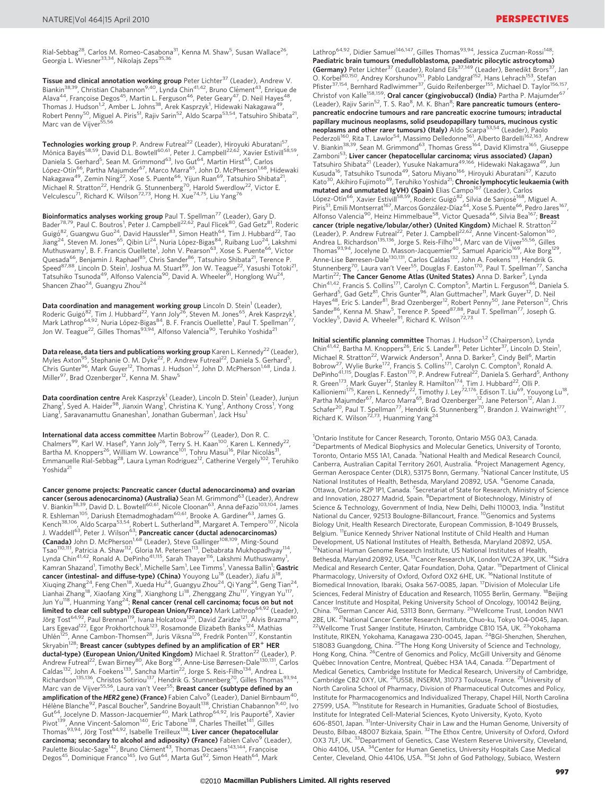Rial-Sebbag<sup>28</sup>, Carlos M. Romeo-Casabona<sup>31</sup>, Kenna M. Shaw<sup>5</sup>, Susan Wallace<sup>26</sup>, Georgia L. Wiesner<sup>33,34</sup>, Nikolajs Zeps<sup>35,36</sup>

**Tissue and clinical annotation working group** Peter Lichter<sup>37</sup> (Leader), Andrew V. Biankin<sup>38,39</sup>, Christian Chabannon<sup>9,40</sup>, Lynda Chin<sup>41,42</sup>, Bruno Clément<sup>43</sup>, Enrique de Alava<sup>44</sup>, Françoise Degos<sup>45</sup>, Martin L. Ferguson<sup>46</sup>, Peter Geary<sup>47</sup>, D. Neil Hayes<sup>48</sup>, Thomas J. Hudson<sup>1,2</sup>, Amber L. Johns<sup>38</sup>, Arek Kasprzyk<sup>1</sup>, Hidewaki Nakagawa<sup>49</sup>, Robert Penny<sup>50</sup>, Miguel A. Piris<sup>51</sup>, Rajiv Sarin<sup>52</sup>, Aldo Scarpa<sup>53,54</sup>, Tatsuhiro Shibata<sup>21</sup>, Marc van de Vijver<sup>55,56</sup>

Technologies working group P. Andrew Futreal<sup>22</sup> (Leader), Hiroyuki Aburatani<sup>57</sup>, Mónica Bayés<sup>58,59</sup>, David D.L. Bowtell<sup>60,61</sup>, Peter J. Campbell<sup>22,62</sup>, Xavier Estivill<sup>58,59</sup>, Daniela S. Gerhard<sup>5</sup>, Sean M. Grimmond<sup>63</sup>, Ivo Gut<sup>64</sup>, Martin Hirst<sup>65</sup>, Carlos López-Otín<sup>66</sup>, Partha Majumder<sup>67</sup>, Marco Marra<sup>65</sup>, John D. McPherson<sup>1,68</sup>, Hidewaki Nakagawa<sup>49</sup>, Zemin Ning<sup>22</sup>, Xose S. Puente<sup>66</sup>, Yijun Ruan<sup>69</sup>, Tatsuhiro Shibata<sup>21</sup>, Michael R. Stratton<sup>22</sup>, Hendrik G. Stunnenberg<sup>70</sup>, Harold Swerdlow<sup>22</sup>, Victor E. Velculescu<sup>71</sup>, Richard K. Wilson<sup>72,73</sup>, Hong H. Xue<sup>74,75</sup>, Liu Yang<sup>76</sup>

Bioinformatics analyses working group Paul T. Spellman<sup>77</sup> (Leader), Gary D. Bader<sup>78,79</sup>, Paul C. Boutros<sup>1</sup>, Peter J. Campbell<sup>22,62</sup>, Paul Flicek<sup>80</sup>, Gad Getz<sup>81</sup>, Roderic Guigó<sup>82</sup>, Guangwu Guo<sup>24</sup>, David Haussler<sup>83</sup>, Simon Heath<sup>64</sup>, Tim J. Hubbard<sup>22</sup>, Tao Jiang<sup>24</sup>, Steven M. Jones<sup>65</sup>, Qibin Li<sup>24</sup>, Nuria López-Bigas<sup>84</sup>, Ruibang Luo<sup>24</sup>, Lakshmi Muthuswamy<sup>1</sup>, B. F. Francis Ouellette<sup>1</sup>, John V. Pearson<sup>63</sup>, Xose S. Puente<sup>66</sup>, Victor Quesada<sup>66</sup>, Benjamin J. Raphael<sup>85</sup>, Chris Sander<sup>86</sup>, Tatsuhiro Shibata<sup>21</sup>, Terence P. Speed<sup>87,88</sup>, Lincoln D. Stein<sup>1</sup>, Joshua M. Stuart<sup>89</sup>, Jon W. Teague<sup>22</sup>, Yasushi Totoki<sup>21</sup>, Tatsuhiko Tsunoda<sup>49</sup>, Alfonso Valencia<sup>90</sup>, David A. Wheeler<sup>91</sup>, Honglong Wu<sup>24</sup>, Shancen Zhao<sup>24</sup>, Guangyu Zhou<sup>24</sup>

Data coordination and management working group Lincoln D. Stein<sup>1</sup> (Leader), Roderic Guigó<sup>82</sup>, Tim J. Hubbard<sup>22</sup>, Yann Joly<sup>26</sup>, Steven M. Jones<sup>65</sup>, Arek Kasprzyk<sup>1</sup>,<br>Mark Lathrop<sup>64,92</sup>, Nuria López-Bigas<sup>84</sup>, B. F. Francis Ouellette<sup>1</sup>, Paul T. Spellman<sup>77</sup>, Jon W. Teague<sup>22</sup>, Gilles Thomas<sup>93,94</sup>, Alfonso Valencia<sup>90</sup>, Teruhiko Yoshida<sup>21</sup>

Data release, data tiers and publications working group Karen L. Kennedy<sup>22</sup> (Leader), Myles Axton<sup>95</sup>, Stephanie O. M. Dyke<sup>22</sup>, P. Andrew Futreal<sup>22</sup>, Daniela S. Gerhard<sup>5</sup>,<br>Chris Gunter<sup>96</sup>, Mark Guyer<sup>12</sup>, Thomas J. Hudson<sup>1,2</sup>, John D. McPherson<sup>1,68</sup>, Linda J. Miller<sup>97</sup>, Brad Ozenberger<sup>12</sup>, Kenna M. Shaw<sup>5</sup>

**Data coordination centre** Arek Kasprzyk<sup>1</sup> (Leader), Lincoln D. Stein<sup>1</sup> (Leader), Junjun<br>Zhang<sup>1</sup>, Syed A. Haider<sup>98</sup>, Jianxin Wang<sup>1</sup>, Christina K. Yung<sup>1</sup>, Anthony Cross<sup>1</sup>, Yong Liang<sup>1</sup>, Saravanamuttu Gnaneshan<sup>1</sup>, Jonathan Guberman<sup>1</sup>, Jack Hsu<sup>1</sup>

International data access committee Martin Bobrow<sup>27</sup> (Leader), Don R. C. Chalmers<sup>99</sup>, Karl W. Hasel<sup>6</sup>, Yann Joly<sup>26</sup>, Terry S. H. Kaan<sup>100</sup>, Karen L. Kennedy<sup>22</sup>, Bartha M. Knoppers<sup>26</sup>, William W. Lowrance<sup>101</sup>, Tohru Masui<sup>16</sup>, Pilar Nicolás<sup>31</sup>, Emmanuelle Rial-Sebbag<sup>28</sup>, Laura Lyman Rodriguez<sup>12</sup>, Catherine Vergely<sup>102</sup>, Teruhiko Yoshida<sup>21</sup>

Cancer genome projects: Pancreatic cancer (ductal adenocarcinoma) and ovarian cancer (serous adenocarcinoma) (Australia) Sean M. Grimmond<sup>63</sup> (Leader), Andrew V. Biankin<sup>38,39</sup>, David D. L. Bowtell<sup>60,61</sup>, Nicole Cloonan<sup>63</sup>, Anna deFazio<sup>103,104</sup>, James R. Eshleman<sup>105</sup>, Dariush Etemadmoghadam<sup>60,61</sup>, Brooke A. Gardiner<sup>63</sup>, James G. Kench<sup>38,106</sup>, Aldo Scarpa<sup>53,54</sup>, Robert L. Sutherland<sup>38</sup>, Margaret A. Tempero<sup>107</sup>, Nicola J. Waddell<sup>63</sup>, Peter J. Wilson<sup>63</sup>; **Pancreatic cancer (ductal adenocarcinomas)** (Canada) John D. McPherson<sup>1,68</sup> (Leader), Steve Gallinger<sup>108,109</sup>, Ming-Sound Tsao<sup>110,111</sup>, Patricia A. Shaw<sup>112</sup>, Gloria M. Petersen<sup>113</sup>, Debabrata Mukhopadhyay<sup>114</sup>, Lynda Chin<sup>41,42</sup>, Ronald A. DePinho<sup>41,115</sup>, Sarah Thayer<sup>116</sup>, Lakshmi Muthuswamy<sup>1</sup>, Kamran Shazand<sup>1</sup>, Timothy Beck<sup>1</sup>, Michelle Sam<sup>1</sup>, Lee Timms<sup>1</sup>, Vanessa Ballin<sup>1</sup>; **Gastric**<br>**cancer (intestinal- and diffuse-type) (China)** Youyong Lu<sup>18</sup> (Leader), Jiafu Ji<sup>18</sup>, Xiuqing Zhang<sup>24</sup>, Feng Chen<sup>18</sup>, Xueda Hu<sup>24</sup>, Guangyu Zhou<sup>24</sup>, Qi Yang<sup>24</sup>, Geng Tian<sup>24</sup> Lianhai Zhang<sup>18</sup>, Xiaofang Xing<sup>18</sup>, Xianghong Li<sup>18</sup>, Zhenggang Zhu<sup>117</sup>, Yingyan Yu<sup>117</sup>, Jun Yu<sup>118</sup>, Huanming Yang<sup>24</sup>; Renal cancer (renal cell carcinoma; focus on but not limited to clear cell subtype) (European Union/France) Mark Lathrop<sup>64,92</sup> (Leader), Jörg Tost<sup>64,92</sup>, Paul Brennan<sup>119</sup>, Ivana Holcatova<sup>120</sup>, David Zaridze<sup>121</sup>, Alvis Brazma<sup>80</sup>, Lars Egevad<sup>122</sup>, Egor Prokhortchouk<sup>123</sup>, Rosamonde Elizabeth Banks<sup>124</sup>, Mathias Uhlén<sup>125</sup>, Anne Cambon-Thomsen<sup>28</sup>, Juris Viksna<sup>126</sup>, Fredrik Ponten<sup>127</sup>, Konstantin Skryabin<sup>128</sup>; Breast cancer (subtypes defined by an amplification of ER<sup>+</sup> HER ductal-type) (European Union/United Kingdom) Michael R. Stratton<sup>22</sup> (Leader), P. Andrew Futreal<sup>22</sup>, Ewan Birney<sup>80</sup>, Ake Borg<sup>129</sup>, Anne-Lise Børresen-Dale<sup>130,131</sup>, Carlos Caldas<sup>132</sup>, John A. Foekens<sup>133</sup>, Sancha Martin<sup>22</sup>, Jorge S. Reis-Filho<sup>134</sup>, Andrea L. Richardson<sup>135,136</sup>, Christos Sotiriou<sup>137</sup>, Hendrik G. Stunnenberg<sup>70</sup>, Gilles Thomas<sup>93,94</sup>, Marc van de Vijver<sup>55,56</sup>, Laura van't Veer<sup>55</sup>; **Breast cancer (subtype defined by an** amplification of the HER2 gene) (France) Fabien Calvo<sup>9</sup> (Leader), Daniel Birnbaum<sup>40</sup>, Hélène Blanche<sup>92</sup>, Pascal Boucher<sup>9</sup>, Sandrine Boyault<sup>138</sup>, Christian Chabannon<sup>9,40</sup>, Ivo Gut<sup>64</sup>, Jocelyne D. Masson-Jacquemier<sup>40</sup>, Mark Lathrop<sup>64,92</sup>, Iris Pauporté<sup>9</sup>, Xavier<br>Pivot<sup>139</sup>, Anne Vincent-Salomon<sup>140</sup>, Eric Tabone<sup>138</sup>, Charles Theillet<sup>141</sup>, Gilles Thomas<sup>93,94</sup>, Jörg Tost<sup>64,92</sup>, Isabelle Treilleux<sup>138</sup>; Liver cancer (hepatocellular carcinoma; secondary to alcohol and adiposity) (France) Fabien Calvo<sup>9</sup> (Leader), Paulette Bioulac-Sage<sup>142</sup>, Bruno Clément<sup>43</sup>, Thomas Decaens<sup>143,144</sup>, Françoise Degos<sup>45</sup>, Dominique Franco<sup>145</sup>, Ivo Gut<sup>64</sup>, Marta Gut<sup>92</sup>, Simon Heath<sup>64</sup>, Mark

Lathrop<sup>64,92</sup>, Didier Samuel<sup>146,147</sup>, Gilles Thomas<sup>93,94</sup>, Jessica Zucman-Rossi<sup>148</sup>; Paediatric brain tumours (medulloblastoma, paediatric pilocytic astrocytoma) (Germany) Peter Lichter<sup>37</sup> (Leader), Roland Eils<sup>37,149</sup> (Leader), Benedikt Brors<sup>37</sup>, Jan O. Korbel<sup>80,150</sup>, Andrey Korshunov<sup>151</sup>, Pablo Landgraf<sup>152</sup>, Hans Lehrach<sup>153</sup>, Stefan Pfister<sup>37,154</sup>, Bernhard Radlwimmer<sup>37</sup>, Guido Reifenberger<sup>155</sup>, Michael D. Taylor<sup>156,157</sup> Christof von Kalle<sup>158,159</sup>; Oral cancer (gingivobuccal) (India) Partha P. Majumder<sup>67</sup> (Leader), Rajiv Sarin<sup>52</sup>, T. S. Rao<sup>8</sup>, M. K. Bhan<sup>8</sup>; Rare pancreatic tumours (enteropancreatic endocrine tumours and rare pancreatic exocrine tumours; intraductal papillary mucinous neoplasms, solid pseudopapillary tumours, mucinous cystic neoplasms and other rarer tumours) (Italy) Aldo Scarpa<sup>53,54</sup> (Leader), Paolo Pederzoli<sup>160</sup>, Rita T. Lawlor<sup>54</sup>, Massimo Delledonne<sup>161</sup>, Alberto Bardelli<sup>162,163</sup>, Andrew V. Biankin<sup>38,39</sup>, Sean M. Grimmond<sup>63</sup>, Thomas Gress<sup>164</sup>, David Klimstra<sup>165</sup>, Giuseppe Zamboni<sup>53</sup>; Liver cancer (hepatocellular carcinoma; virus associated) (Japan) Tatsuhiro Shibata<sup>21</sup> (Leader), Yusuke Nakamura<sup>49,166</sup>, Hidewaki Nakagawa<sup>49</sup>, Jun Kusuda16, Tatsuhiko Tsunoda49, Satoru Miyano166, Hiroyuki Aburatani57, Kazuto Kato $30$ , Akihiro Fujimoto $49$ , Teruhiko Yoshida<sup>21</sup>; Chronic lymphocytic leukaemia (with mutated and unmutated IgVH) (Spain) Elias Campo<sup>167</sup> (Leader), Carlos López-Otín<sup>66</sup>, Xavier Estivill<sup>58,59</sup>, Roderic Guigó<sup>82</sup>, Silvia de Sanjosé<sup>168</sup>, Miguel A. Piris<sup>51</sup>, Emili Montserrat<sup>167</sup>, Marcos González-Díaz<sup>44</sup>, Xose S. Puente<sup>66</sup>, Pedro Jares<sup>167</sup>, Alfonso Valencia<sup>90</sup>, Heinz Himmelbaue<sup>58</sup>, Victor Quesada<sup>66</sup>, Silvia Bea<sup>167</sup>; Breast cancer (triple negative/lobular/other) (United Kingdom) Michael R. Stratton<sup>22</sup> (Leader), P. Andrew Futreal<sup>22</sup>, Peter J. Campbell<sup>22,62</sup>, Anne Vincent-Salomon<sup>140</sup>, Andrea L. Richardson<sup>135,136</sup>, Jorge S. Reis-Filho<sup>134</sup>, Marc van de Vijver<sup>55,56</sup>, Gilles Thomas<sup>93,94</sup>, Jocelyne D. Masson-Jacquemier<sup>40</sup>, Samuel Aparicio<sup>169</sup>, Ake Borg<sup>129</sup>, Anne-Lise Børresen-Dale<sup>130,131</sup>, Carlos Caldas<sup>132</sup>, John A. Foekens<sup>133</sup>, Hendrik G. Stunnenberg<sup>70</sup>, Laura van't Veer<sup>55</sup>, Douglas F. Easton<sup>170</sup>, Paul T. Spellman<sup>77</sup>, Sancha Martin<sup>22</sup>; **The Cancer Genome Atlas (United States)** Anna D. Barker<sup>5</sup>, Lynda<br>Chin<sup>41,42</sup>, Francis S. Collins<sup>171</sup>, Carolyn C. Compton<sup>5</sup>, Martin L. Ferguson<sup>46</sup>, Daniela S. Gerhard<sup>5</sup>, Gad Getz<sup>81</sup>, Chris Gunter<sup>96</sup>, Alan Guttmacher<sup>11</sup>, Mark Guyer<sup>12</sup>, D. Neil Hayes<sup>48</sup>, Eric S. Lander<sup>81</sup>, Brad Ozenberger<sup>12</sup>, Robert Penny<sup>50</sup>, Jane Peterson<sup>12</sup>, Chris Sander<sup>86</sup>, Kenna M. Shaw<sup>5</sup>, Terence P. Speed<sup>87,88</sup>, Paul T. Spellman<sup>77</sup>, Joseph G. Vockley<sup>5</sup>, David A. Wheeler<sup>91</sup>, Richard K. Wilson<sup>72,73</sup>

Initial scientific planning committee Thomas J. Hudson<sup>1,2</sup> (Chairperson), Lynda Chin<sup>41,42</sup>, Bartha M. Knoppers<sup>26</sup>, Eric S. Lander<sup>81</sup>, Peter Lichter<sup>37</sup>, Lincoln D. Stein<sup>1</sup> Michael R. Stratton<sup>22</sup>, Warwick Anderson<sup>3</sup>, Anna D. Barker<sup>5</sup>, Cindy Bell<sup>6</sup> Michael R. Stratton<sup>22</sup>, Warwick Anderson<sup>3</sup>, Anna D. Barker<sup>5</sup>, Cindy Bell<sup>o</sup>, Martin<br>Bobrow<sup>27</sup>, Wylie Burke<sup>172</sup>, Francis S. Collins<sup>171</sup>, Carolyn C. Compton<sup>5</sup>, Ronald A.<br>DePinho<sup>41,115</sup>, Douglas F. Easton<sup>170</sup>, P. And Kallioniemi<sup>175</sup>, Karen L. Kennedy<sup>22</sup>, Timothy J. Ley<sup>72,176</sup>, Edison T. Liu<sup>69</sup>, Youyong Lu<sup>18</sup>, Partha Majumder<sup>67</sup>, Marco Marra<sup>65</sup>, Brad Ozenberger<sup>12</sup>, Jane Peterson<sup>12</sup>, Alan J. Schafer<sup>20</sup>, Paul T. Spellman<sup>77</sup>, Hendrik G. Stunnenberg<sup>70</sup>, Brandon J. Wainwright<sup>177</sup>, Richard K. Wilson<sup>72,73</sup>, Huanming Yang<sup>24</sup>

<sup>1</sup>Ontario Institute for Cancer Research, Toronto, Ontario M5G 0A3, Canada. <sup>2</sup> Departments of Medical Biophysics and Molecular Genetics, University of Toronto, Toronto, Ontario M5S 1A1, Canada. <sup>3</sup>National Health and Medical Research Council Canberra, Australian Capital Territory 2601, Australia. <sup>4</sup> Project Management Agency, German Aerospace Center (DLR), 53175 Bonn, Germany. <sup>5</sup>National Cancer Institute, US National Institutes of Health, Bethesda, Maryland 20892, USA. <sup>6</sup>Genome Canada, Ottawa, Ontario K2P 1P1, Canada. <sup>7</sup> Secretariat of State for Research, Ministry of Science and Innovation, 28027 Madrid, Spain. <sup>8</sup>Department of Biotechnology, Ministry of Science & Technology, Government of India, New Delhi, Delhi 110003, India. <sup>9</sup>Institut National du Cancer, 92513 Boulogne-Billancourt, France. <sup>10</sup>Genomics and Systems Biology Unit, Health Research Directorate, European Commission, B-1049 Brussels, Belgium. <sup>11</sup>Eunice Kennedy Shriver National Institute of Child Health and Human Development, US National Institutes of Health, Bethesda, Maryland 20892, USA. <sup>12</sup>National Human Genome Research Institute, US National Institutes of Health, Bethesda, Maryland 20892, USA. 13Cancer Research UK, London WC2A 3PX, UK. 14Sidra Medical and Research Center, Qatar Foundation, Doha, Qatar. <sup>15</sup>Department of Clinical Pharmacology, University of Oxford, Oxford OX2 6HE, UK. <sup>16</sup>National Institute of Biomedical Innovation, Ibaraki, Osaka 567-0085, Japan. 17Division of Molecular Life Sciences, Federal Ministry of Education and Research, 11055 Berlin, Germany. <sup>18</sup>Beijing Cancer Institute and Hospital, Peking University School of Oncology, 100142 Beijing, China. <sup>19</sup> German Cancer Aid, 53113 Bonn, Germany. <sup>20</sup> Wellcome Trust, London NW1<br>2BE, UK. <sup>21</sup> National Cancer Center Research Institute, Chuo-ku, Tokyo 104-0045, Japan. <sup>22</sup>Wellcome Trust Sanger Institute, Hinxton, Cambridge CB10 1SA, UK. <sup>23</sup>Yokohama Institute, RIKEN, Yokohama, Kanagawa 230-0045, Japan. <sup>24</sup>BGI-Shenzhen, Shenzhen, 518083 Guangdong, China. <sup>25</sup>The Hong Kong University of Science and Technology, Hong Kong, China. <sup>26</sup>Centre of Genomics and Policy, McGill University and Génome Québec Innovation Centre, Montreal, Québec H3A 1A4, Canada. <sup>27</sup>Department of Medical Genetics, Cambridge Institute for Medical Research, University of Cambridge, Cambridge CB2 0XY, UK. 28U558, INSERM, 31073 Toulouse, France. 29University of North Carolina School of Pharmacy, Division of Pharmaceutical Outcomes and Policy, Institute for Pharmacogenomics and Individualized Therapy, Chapel Hill, North Carolina 27599, USA. <sup>30</sup>Institute for Research in Humanities, Graduate School of Biostudies, Institute for Integrated Cell-Material Sciences, Kyoto University, Kyoto, Kyoto 606-8501, Japan. 31Inter-University Chair in Law and the Human Genome, University of Deusto, Bilbao, 48007 Bizkaia, Spain. <sup>32</sup>The Ethox Centre, University of Oxford, Oxford OX3 7LF, UK. <sup>33</sup>Department of Genetics, Case Western Reserve University, Cleveland, Ohio 44106, USA. <sup>34</sup>Center for Human Genetics, University Hospitals Case Medical Center, Cleveland, Ohio 44106, USA. <sup>35</sup>St John of God Pathology, Subiaco, Western